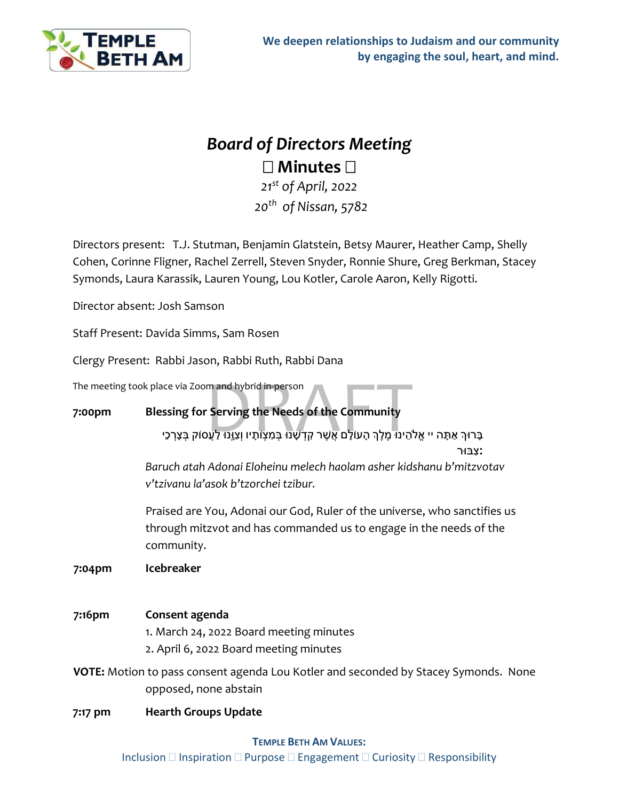

# *Board of Directors Meeting* **Minutes**

*21st of April, 2022 20th of Nissan, 5782*

Directors present: T.J. Stutman, Benjamin Glatstein, Betsy Maurer, Heather Camp, Shelly Cohen, Corinne Fligner, Rachel Zerrell, Steven Snyder, Ronnie Shure, Greg Berkman, Stacey Symonds, Laura Karassik, Lauren Young, Lou Kotler, Carole Aaron, Kelly Rigotti.

Director absent: Josh Samson

Staff Present: Davida Simms, Sam Rosen

Clergy Present: Rabbi Jason, Rabbi Ruth, Rabbi Dana

The meeting took place via Zoom and hybrid in-person

# **7:00pm Blessing for Serving the Needs of the Community**

ace via Zoom and hybrid in-person<br>**essing for Serving the Needs of the Community**<br>בָּרוּךְ אַתָּה יי אֱלֹהֵינוּ מֶלֶךְ הָעוֹלָם אֲשֶׁר קִדְשָׁנוּ בְּמִצְוֹתָיו וְצִוְּנוּ לַעֲסוֹק בְּצָרְכֵי

**׃**צִ בּוּר

*Baruch atah Adonai Eloheinu melech haolam asher kidshanu b'mitzvotav v'tzivanu la'asok b'tzorchei tzibur.*

Praised are You, Adonai our God, Ruler of the universe, who sanctifies us through mitzvot and has commanded us to engage in the needs of the community.

**7:04pm Icebreaker**

## **7:16pm Consent agenda**

1. March 24, 2022 Board meeting minutes

2. April 6, 2022 Board meeting minutes

**VOTE:** Motion to pass consent agenda Lou Kotler and seconded by Stacey Symonds. None opposed, none abstain

## **7:17 pm Hearth Groups Update**

#### **TEMPLE BETH AM VALUES:**

Inclusion  $\Box$  Inspiration  $\Box$  Purpose  $\Box$  Engagement  $\Box$  Curiosity  $\Box$  Responsibility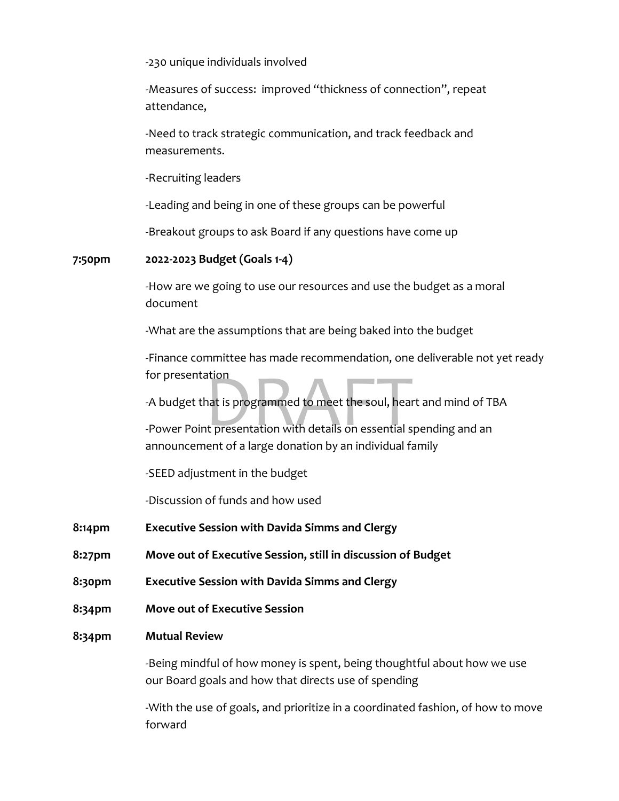-230 unique individuals involved

-Measures of success: improved "thickness of connection", repeat attendance,

-Need to track strategic communication, and track feedback and measurements.

-Recruiting leaders

-Leading and being in one of these groups can be powerful

-Breakout groups to ask Board if any questions have come up

#### **7:50pm 2022-2023 Budget (Goals 1-4)**

-How are we going to use our resources and use the budget as a moral document

-What are the assumptions that are being baked into the budget

-Finance committee has made recommendation, one deliverable not yet ready for presentation

-A budget that is programmed to meet the soul, heart and mind of TBA

ation<br>hat is programmed to meet the soul, hear<br>the presentation with details on essential s -Power Point presentation with details on essential spending and an announcement of a large donation by an individual family

-SEED adjustment in the budget

-Discussion of funds and how used

- **8:14pm Executive Session with Davida Simms and Clergy**
- **8:27pm Move out of Executive Session, still in discussion of Budget**
- **8:30pm Executive Session with Davida Simms and Clergy**
- **8:34pm Move out of Executive Session**

#### **8:34pm Mutual Review**

-Being mindful of how money is spent, being thoughtful about how we use our Board goals and how that directs use of spending

-With the use of goals, and prioritize in a coordinated fashion, of how to move forward